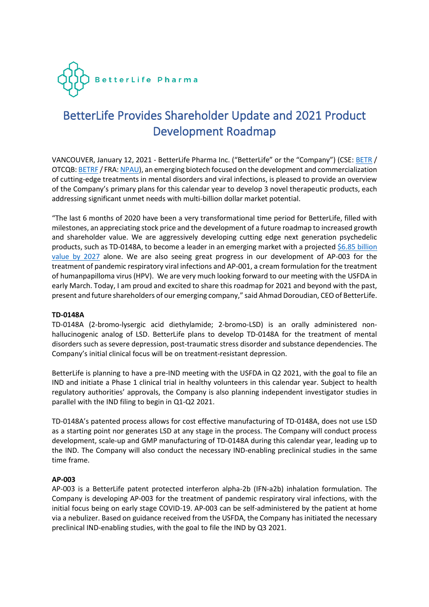

# BetterLife Provides Shareholder Update and 2021 Product Development Roadmap

VANCOUVER, January 12, 2021 - BetterLife Pharma Inc. ("BetterLife" or the "Company") (CSE: [BETR](https://thecse.com/en/listings/life-sciences/betterlife-pharma-inc) / OTCQB[: BETRF](https://www.otcmarkets.com/stock/BETRF/overview) / FRA[: NPAU\)](https://www.tradegate.de/orderbuch.php?lang=en&isin=CA08772P2026), an emerging biotech focused on the development and commercialization of cutting-edge treatments in mental disorders and viral infections, is pleased to provide an overview of the Company's primary plans for this calendar year to develop 3 novel therapeutic products, each addressing significant unmet needs with multi-billion dollar market potential.

"The last 6 months of 2020 have been a very transformational time period for BetterLife, filled with milestones, an appreciating stock price and the development of a future roadmap to increased growth and shareholder value. We are aggressively developing cutting edge next generation psychedelic products, such as TD-0148A, to become a leader in an emerging market with a projecte[d \\$6.85 billion](https://www.openpr.com/news/2068844/psychedelic-drugs-market-2020-to-grow-at-16-3-cagr-by-2027)  [value by 2027](https://www.openpr.com/news/2068844/psychedelic-drugs-market-2020-to-grow-at-16-3-cagr-by-2027) alone. We are also seeing great progress in our development of AP-003 for the treatment of pandemic respiratory viral infections and AP-001, a cream formulation for the treatment of humanpapilloma virus (HPV). We are very much looking forward to our meeting with the USFDA in early March. Today, I am proud and excited to share this roadmap for 2021 and beyond with the past, present and future shareholders of our emerging company," said Ahmad Doroudian, CEO of BetterLife.

## **TD-0148A**

TD-0148A (2-bromo-lysergic acid diethylamide; 2-bromo-LSD) is an orally administered nonhallucinogenic analog of LSD. BetterLife plans to develop TD-0148A for the treatment of mental disorders such as severe depression, post-traumatic stress disorder and substance dependencies. The Company's initial clinical focus will be on treatment-resistant depression.

BetterLife is planning to have a pre-IND meeting with the USFDA in Q2 2021, with the goal to file an IND and initiate a Phase 1 clinical trial in healthy volunteers in this calendar year. Subject to health regulatory authorities' approvals, the Company is also planning independent investigator studies in parallel with the IND filing to begin in Q1-Q2 2021.

TD-0148A's patented process allows for cost effective manufacturing of TD-0148A, does not use LSD as a starting point nor generates LSD at any stage in the process. The Company will conduct process development, scale-up and GMP manufacturing of TD-0148A during this calendar year, leading up to the IND. The Company will also conduct the necessary IND-enabling preclinical studies in the same time frame.

## **AP-003**

AP-003 is a BetterLife patent protected interferon alpha-2b (IFN-a2b) inhalation formulation. The Company is developing AP-003 for the treatment of pandemic respiratory viral infections, with the initial focus being on early stage COVID-19. AP-003 can be self-administered by the patient at home via a nebulizer. Based on guidance received from the USFDA, the Company has initiated the necessary preclinical IND-enabling studies, with the goal to file the IND by Q3 2021.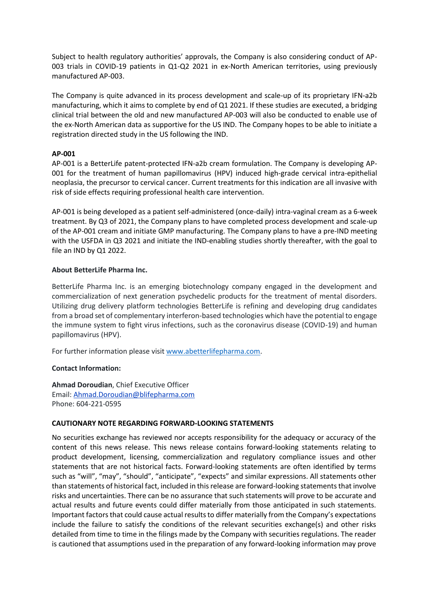Subject to health regulatory authorities' approvals, the Company is also considering conduct of AP-003 trials in COVID-19 patients in Q1-Q2 2021 in ex-North American territories, using previously manufactured AP-003.

The Company is quite advanced in its process development and scale-up of its proprietary IFN-a2b manufacturing, which it aims to complete by end of Q1 2021. If these studies are executed, a bridging clinical trial between the old and new manufactured AP-003 will also be conducted to enable use of the ex-North American data as supportive for the US IND. The Company hopes to be able to initiate a registration directed study in the US following the IND.

## **AP-001**

AP-001 is a BetterLife patent-protected IFN-a2b cream formulation. The Company is developing AP-001 for the treatment of human papillomavirus (HPV) induced high-grade cervical intra-epithelial neoplasia, the precursor to cervical cancer. Current treatments for this indication are all invasive with risk of side effects requiring professional health care intervention.

AP-001 is being developed as a patient self-administered (once-daily) intra-vaginal cream as a 6-week treatment. By Q3 of 2021, the Company plans to have completed process development and scale-up of the AP-001 cream and initiate GMP manufacturing. The Company plans to have a pre-IND meeting with the USFDA in Q3 2021 and initiate the IND-enabling studies shortly thereafter, with the goal to file an IND by Q1 2022.

## **About BetterLife Pharma Inc.**

BetterLife Pharma Inc. is an emerging biotechnology company engaged in the development and commercialization of next generation psychedelic products for the treatment of mental disorders. Utilizing drug delivery platform technologies BetterLife is refining and developing drug candidates from a broad set of complementary interferon-based technologies which have the potential to engage the immune system to fight virus infections, such as the coronavirus disease (COVID-19) and human papillomavirus (HPV).

For further information please visit [www.abetterlifepharma.com.](file:///C:/Users/andre/AppData/Local/Temp/www.abetterlifepharma.com)

## **Contact Information:**

**Ahmad Doroudian**, Chief Executive Officer Email: [Ahmad.Doroudian@blifepharma.com](https://www.globenewswire.com/Tracker?data=C2h5AYESjPFb0lJvptMMD4taAKfKURtJh2xCP0H2auvasr6iRB11Wa35DWikAFDaS-9hgXdSmxqo1cLA2Km84Y77EiSNa3vKmUtztBB4BAqvjV6ZQT_kUxuqZkIC5ONT) Phone: 604-221-0595

## **CAUTIONARY NOTE REGARDING FORWARD-LOOKING STATEMENTS**

No securities exchange has reviewed nor accepts responsibility for the adequacy or accuracy of the content of this news release. This news release contains forward-looking statements relating to product development, licensing, commercialization and regulatory compliance issues and other statements that are not historical facts. Forward-looking statements are often identified by terms such as "will", "may", "should", "anticipate", "expects" and similar expressions. All statements other than statements of historical fact, included in this release are forward-looking statements that involve risks and uncertainties. There can be no assurance that such statements will prove to be accurate and actual results and future events could differ materially from those anticipated in such statements. Important factors that could cause actual results to differ materially from the Company's expectations include the failure to satisfy the conditions of the relevant securities exchange(s) and other risks detailed from time to time in the filings made by the Company with securities regulations. The reader is cautioned that assumptions used in the preparation of any forward-looking information may prove